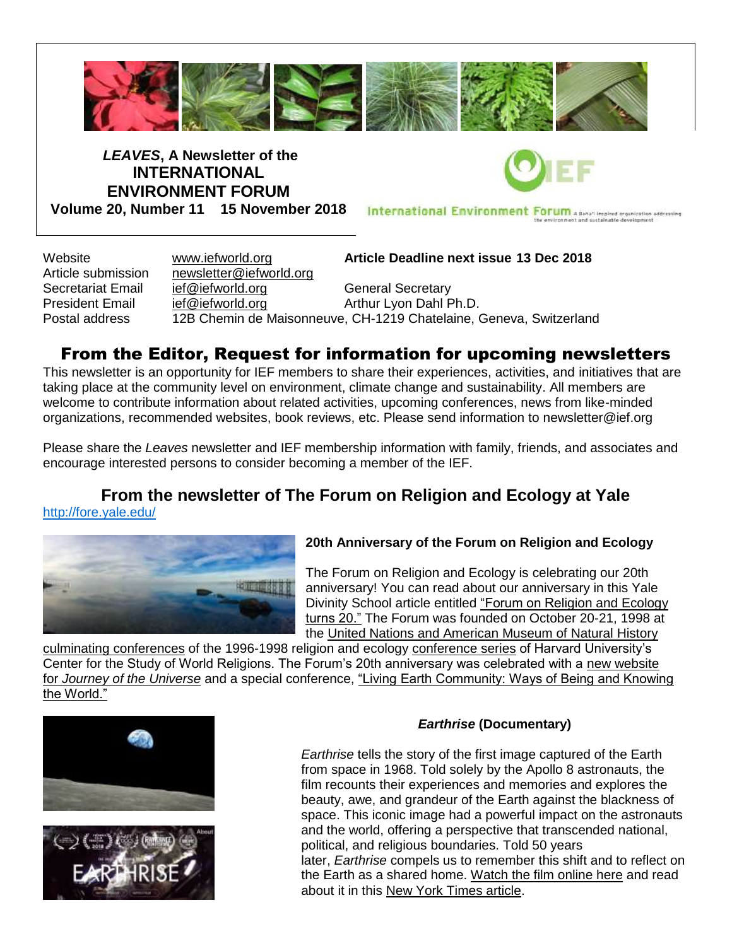

*LEAVES***, A Newsletter of the INTERNATIONAL ENVIRONMENT FORUM Volume 20, Number 11 15 November 2018**

International Environment Forum A Behalf Inspired organization addressing

Website [www.iefworld.org](http://www.iefworld.org/) **Article Deadline next issue 13 Dec 2018**

Article submission  $n$  [newsletter@iefworld.org](mailto:newsletter@iefworld.org)

Secretariat Email [ief@iefworld.org](mailto:ief@iefworld.org) General Secretary President Email [ief@iefworld.org](mailto:ief@iefworld.org) in Arthur Lyon Dahl Ph.D.

Postal address 12B Chemin de Maisonneuve, CH-1219 Chatelaine, Geneva, Switzerland

### From the Editor, Request for information for upcoming newsletters

This newsletter is an opportunity for IEF members to share their experiences, activities, and initiatives that are taking place at the community level on environment, climate change and sustainability. All members are welcome to contribute information about related activities, upcoming conferences, news from like-minded organizations, recommended websites, book reviews, etc. Please send information to [newsletter@ief.org](mailto:newsletter@ief.org)

Please share the *Leaves* newsletter and IEF membership information with family, friends, and associates and encourage interested persons to consider becoming a member of the IEF.

#### **From the newsletter of The Forum on Religion and Ecology at Yale** <http://fore.yale.edu/>



#### **20th Anniversary of the Forum on Religion and Ecology**

The Forum on Religion and Ecology is celebrating our 20th anniversary! You can read about our anniversary in this Yale Divinity School article entitled ["Forum on Religion and Ecology](https://yale.us15.list-manage.com/track/click?u=5da421acac235473df472e31a&id=40effa383e&e=9934bcde2f)  [turns 20."](https://yale.us15.list-manage.com/track/click?u=5da421acac235473df472e31a&id=40effa383e&e=9934bcde2f) The Forum was founded on October 20-21, 1998 at the [United Nations and American Museum of Natural History](https://yale.us15.list-manage.com/track/click?u=5da421acac235473df472e31a&id=84f28f3a45&e=9934bcde2f) 

[culminating conferences](https://yale.us15.list-manage.com/track/click?u=5da421acac235473df472e31a&id=84f28f3a45&e=9934bcde2f) of the 1996-1998 religion and ecology [conference series](https://yale.us15.list-manage.com/track/click?u=5da421acac235473df472e31a&id=f3d478f89a&e=9934bcde2f) of Harvard University's Center for the Study of World Religions. The Forum's 20th anniversary was celebrated with a new website for *[Journey of the Universe](https://yale.us15.list-manage.com/track/click?u=5da421acac235473df472e31a&id=b7b8206a4a&e=9934bcde2f)* and a special conference, ["Living Earth Community: Ways of Being and Knowing](https://yale.us15.list-manage.com/track/click?u=5da421acac235473df472e31a&id=bce5b72a5c&e=9934bcde2f)  [the World."](https://yale.us15.list-manage.com/track/click?u=5da421acac235473df472e31a&id=bce5b72a5c&e=9934bcde2f)





#### *Earthrise* **(Documentary)**

*Earthrise* tells the story of the first image captured of the Earth from space in 1968. Told solely by the Apollo 8 astronauts, the film recounts their experiences and memories and explores the beauty, awe, and grandeur of the Earth against the blackness of space. This iconic image had a powerful impact on the astronauts and the world, offering a perspective that transcended national, political, and religious boundaries. Told 50 years later, *Earthrise* compels us to remember this shift and to reflect on the Earth as a shared home. [Watch the film online here](https://yale.us15.list-manage.com/track/click?u=5da421acac235473df472e31a&id=9ceee2e2aa&e=9934bcde2f) and read about it in this [New York Times article.](https://yale.us15.list-manage.com/track/click?u=5da421acac235473df472e31a&id=cac4db1e3f&e=9934bcde2f)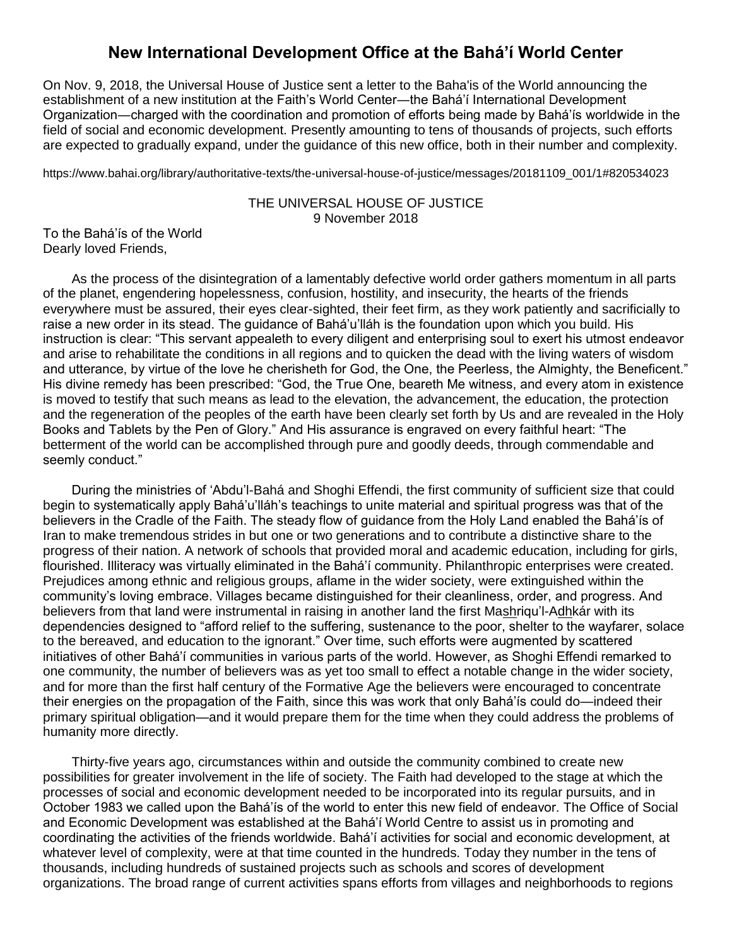### **New International Development Office at the Bahá'í World Center**

On Nov. 9, 2018, the Universal House of Justice sent a letter to the Baha'is of the World announcing the establishment of a new institution at the Faith's World Center―the Bahá'í International Development Organization―charged with the coordination and promotion of efforts being made by Bahá'ís worldwide in the field of social and economic development. Presently amounting to tens of thousands of projects, such efforts are expected to gradually expand, under the guidance of this new office, both in their number and complexity.

https://www.bahai.org/library/authoritative-texts/the-universal-house-of-justice/messages/20181109\_001/1#820534023

#### THE UNIVERSAL HOUSE OF JUSTICE 9 November 2018

To the Bahá'ís of the World Dearly loved Friends,

As the process of the disintegration of a lamentably defective world order gathers momentum in all parts of the planet, engendering hopelessness, confusion, hostility, and insecurity, the hearts of the friends everywhere must be assured, their eyes clear-sighted, their feet firm, as they work patiently and sacrificially to raise a new order in its stead. The guidance of Bahá'u'lláh is the foundation upon which you build. His instruction is clear: "This servant appealeth to every diligent and enterprising soul to exert his utmost endeavor and arise to rehabilitate the conditions in all regions and to quicken the dead with the living waters of wisdom and utterance, by virtue of the love he cherisheth for God, the One, the Peerless, the Almighty, the Beneficent." His divine remedy has been prescribed: "God, the True One, beareth Me witness, and every atom in existence is moved to testify that such means as lead to the elevation, the advancement, the education, the protection and the regeneration of the peoples of the earth have been clearly set forth by Us and are revealed in the Holy Books and Tablets by the Pen of Glory." And His assurance is engraved on every faithful heart: "The betterment of the world can be accomplished through pure and goodly deeds, through commendable and seemly conduct."

During the ministries of 'Abdu'l-Bahá and Shoghi Effendi, the first community of sufficient size that could begin to systematically apply Bahá'u'lláh's teachings to unite material and spiritual progress was that of the believers in the Cradle of the Faith. The steady flow of guidance from the Holy Land enabled the Bahá'ís of Iran to make tremendous strides in but one or two generations and to contribute a distinctive share to the progress of their nation. A network of schools that provided moral and academic education, including for girls, flourished. Illiteracy was virtually eliminated in the Bahá'í community. Philanthropic enterprises were created. Prejudices among ethnic and religious groups, aflame in the wider society, were extinguished within the community's loving embrace. Villages became distinguished for their cleanliness, order, and progress. And believers from that land were instrumental in raising in another land the first Mashriqu'l-Adhkár with its dependencies designed to "afford relief to the suffering, sustenance to the poor, shelter to the wayfarer, solace to the bereaved, and education to the ignorant." Over time, such efforts were augmented by scattered initiatives of other Bahá'í communities in various parts of the world. However, as Shoghi Effendi remarked to one community, the number of believers was as yet too small to effect a notable change in the wider society, and for more than the first half century of the Formative Age the believers were encouraged to concentrate their energies on the propagation of the Faith, since this was work that only Bahá'ís could do—indeed their primary spiritual obligation—and it would prepare them for the time when they could address the problems of humanity more directly.

Thirty-five years ago, circumstances within and outside the community combined to create new possibilities for greater involvement in the life of society. The Faith had developed to the stage at which the processes of social and economic development needed to be incorporated into its regular pursuits, and in October 1983 we called upon the Bahá'ís of the world to enter this new field of endeavor. The Office of Social and Economic Development was established at the Bahá'í World Centre to assist us in promoting and coordinating the activities of the friends worldwide. Bahá'í activities for social and economic development, at whatever level of complexity, were at that time counted in the hundreds. Today they number in the tens of thousands, including hundreds of sustained projects such as schools and scores of development organizations. The broad range of current activities spans efforts from villages and neighborhoods to regions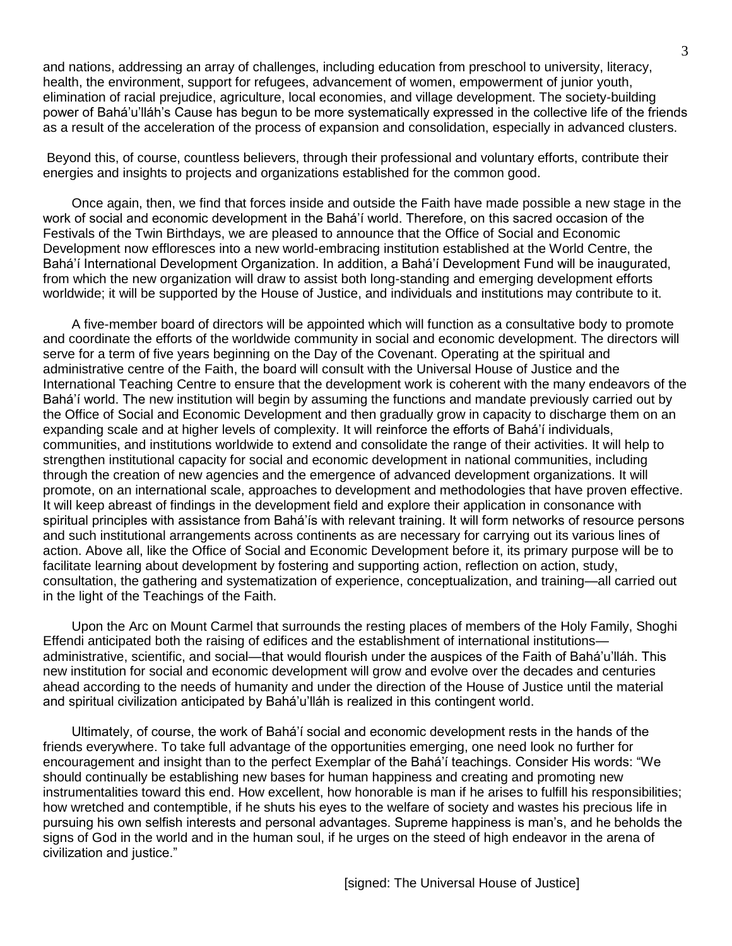and nations, addressing an array of challenges, including education from preschool to university, literacy, health, the environment, support for refugees, advancement of women, empowerment of junior youth, elimination of racial prejudice, agriculture, local economies, and village development. The society-building power of Bahá'u'lláh's Cause has begun to be more systematically expressed in the collective life of the friends as a result of the acceleration of the process of expansion and consolidation, especially in advanced clusters.

Beyond this, of course, countless believers, through their professional and voluntary efforts, contribute their energies and insights to projects and organizations established for the common good.

Once again, then, we find that forces inside and outside the Faith have made possible a new stage in the work of social and economic development in the Bahá'í world. Therefore, on this sacred occasion of the Festivals of the Twin Birthdays, we are pleased to announce that the Office of Social and Economic Development now effloresces into a new world-embracing institution established at the World Centre, the Bahá'í International Development Organization. In addition, a Bahá'í Development Fund will be inaugurated, from which the new organization will draw to assist both long-standing and emerging development efforts worldwide; it will be supported by the House of Justice, and individuals and institutions may contribute to it.

A five-member board of directors will be appointed which will function as a consultative body to promote and coordinate the efforts of the worldwide community in social and economic development. The directors will serve for a term of five years beginning on the Day of the Covenant. Operating at the spiritual and administrative centre of the Faith, the board will consult with the Universal House of Justice and the International Teaching Centre to ensure that the development work is coherent with the many endeavors of the Bahá'í world. The new institution will begin by assuming the functions and mandate previously carried out by the Office of Social and Economic Development and then gradually grow in capacity to discharge them on an expanding scale and at higher levels of complexity. It will reinforce the efforts of Bahá'í individuals, communities, and institutions worldwide to extend and consolidate the range of their activities. It will help to strengthen institutional capacity for social and economic development in national communities, including through the creation of new agencies and the emergence of advanced development organizations. It will promote, on an international scale, approaches to development and methodologies that have proven effective. It will keep abreast of findings in the development field and explore their application in consonance with spiritual principles with assistance from Bahá'ís with relevant training. It will form networks of resource persons and such institutional arrangements across continents as are necessary for carrying out its various lines of action. Above all, like the Office of Social and Economic Development before it, its primary purpose will be to facilitate learning about development by fostering and supporting action, reflection on action, study, consultation, the gathering and systematization of experience, conceptualization, and training—all carried out in the light of the Teachings of the Faith.

Upon the Arc on Mount Carmel that surrounds the resting places of members of the Holy Family, Shoghi Effendi anticipated both the raising of edifices and the establishment of international institutions administrative, scientific, and social—that would flourish under the auspices of the Faith of Bahá'u'lláh. This new institution for social and economic development will grow and evolve over the decades and centuries ahead according to the needs of humanity and under the direction of the House of Justice until the material and spiritual civilization anticipated by Bahá'u'lláh is realized in this contingent world.

Ultimately, of course, the work of Bahá'í social and economic development rests in the hands of the friends everywhere. To take full advantage of the opportunities emerging, one need look no further for encouragement and insight than to the perfect Exemplar of the Bahá'í teachings. Consider His words: "We should continually be establishing new bases for human happiness and creating and promoting new instrumentalities toward this end. How excellent, how honorable is man if he arises to fulfill his responsibilities; how wretched and contemptible, if he shuts his eyes to the welfare of society and wastes his precious life in pursuing his own selfish interests and personal advantages. Supreme happiness is man's, and he beholds the signs of God in the world and in the human soul, if he urges on the steed of high endeavor in the arena of civilization and justice."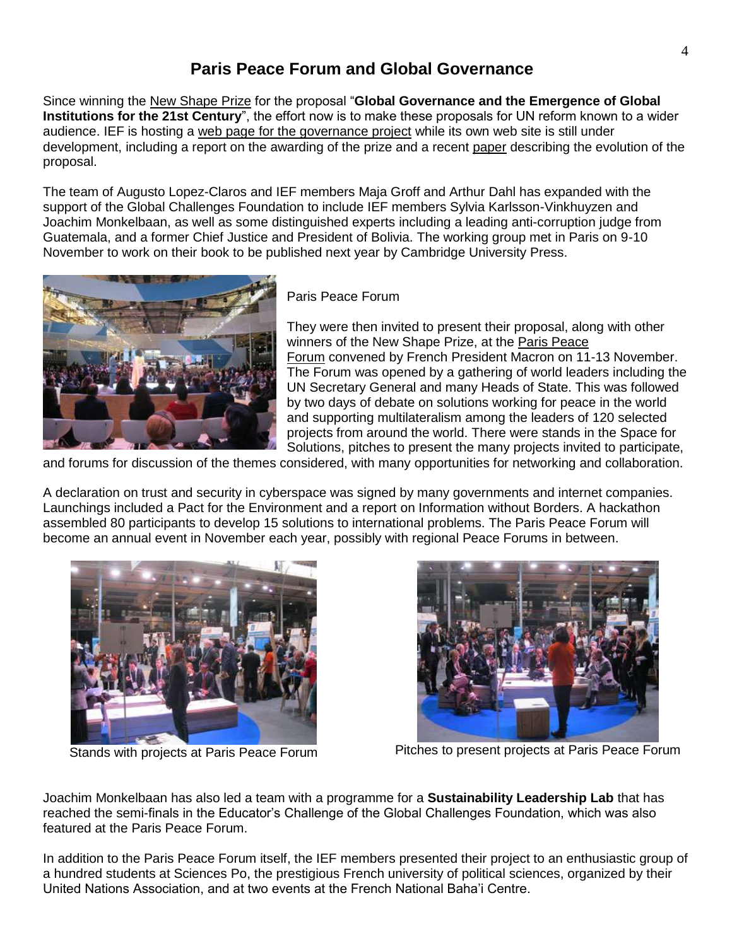### **Paris Peace Forum and Global Governance**

Since winning the New [Shape Prize](https://iefworld.org/node/925) for the proposal "**Global Governance and the Emergence of Global Institutions for the 21st Century**", the effort now is to make these proposals for UN reform known to a wider audience. IEF is hosting a [web page for the governance project](https://iefworld.org/governanceWG) while its own web site is still under development, including a report on the awarding of the prize and a recent [paper](https://iefworld.org/node/949) describing the evolution of the proposal.

The team of Augusto Lopez-Claros and IEF members Maja Groff and Arthur Dahl has expanded with the support of the Global Challenges Foundation to include IEF members Sylvia Karlsson-Vinkhuyzen and Joachim Monkelbaan, as well as some distinguished experts including a leading anti-corruption judge from Guatemala, and a former Chief Justice and President of Bolivia. The working group met in Paris on 9-10 November to work on their book to be published next year by Cambridge University Press.



Paris Peace Forum

They were then invited to present their proposal, along with other winners of the New Shape Prize, at the [Paris Peace](https://parispeaceforum.org/)  [Forum](https://parispeaceforum.org/) convened by French President Macron on 11-13 November. The Forum was opened by a gathering of world leaders including the UN Secretary General and many Heads of State. This was followed by two days of debate on solutions working for peace in the world and supporting multilateralism among the leaders of 120 selected projects from around the world. There were stands in the Space for Solutions, pitches to present the many projects invited to participate,

and forums for discussion of the themes considered, with many opportunities for networking and collaboration.

A declaration on trust and security in cyberspace was signed by many governments and internet companies. Launchings included a Pact for the Environment and a report on Information without Borders. A hackathon assembled 80 participants to develop 15 solutions to international problems. The Paris Peace Forum will become an annual event in November each year, possibly with regional Peace Forums in between.





Stands with projects at Paris Peace Forum Pitches to present projects at Paris Peace Forum

Joachim Monkelbaan has also led a team with a programme for a **Sustainability Leadership Lab** that has reached the semi-finals in the Educator's Challenge of the Global Challenges Foundation, which was also featured at the Paris Peace Forum.

In addition to the Paris Peace Forum itself, the IEF members presented their project to an enthusiastic group of a hundred students at Sciences Po, the prestigious French university of political sciences, organized by their United Nations Association, and at two events at the French National Baha'i Centre.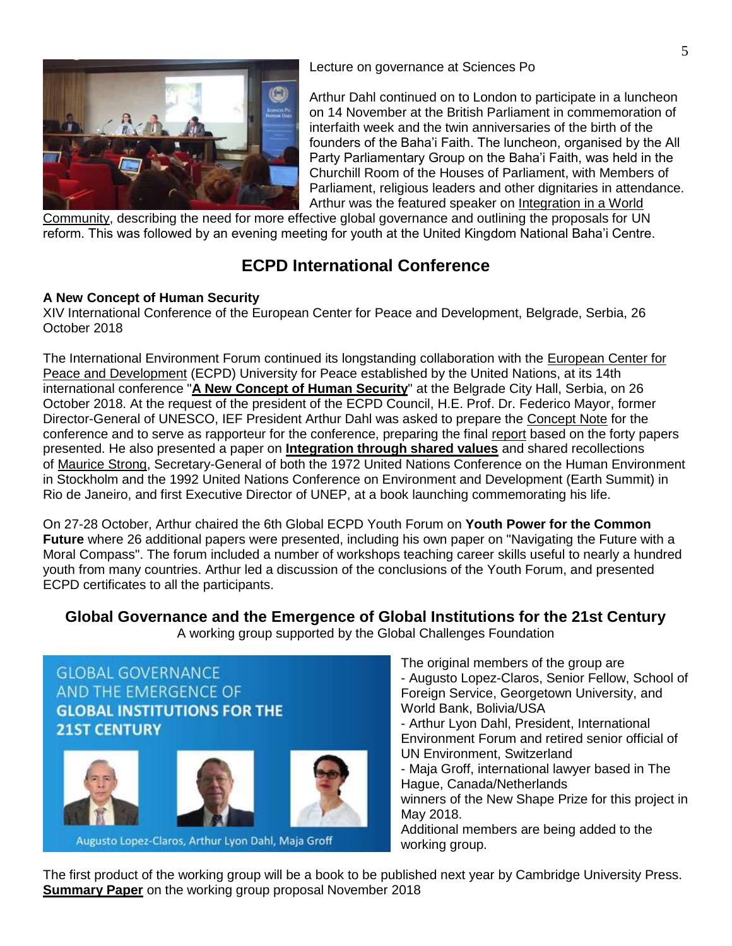

Lecture on governance at Sciences Po

Arthur Dahl continued on to London to participate in a luncheon on 14 November at the British Parliament in commemoration of interfaith week and the twin anniversaries of the birth of the founders of the Baha'i Faith. The luncheon, organised by the All Party Parliamentary Group on the Baha'i Faith, was held in the Churchill Room of the Houses of Parliament, with Members of Parliament, religious leaders and other dignitaries in attendance. Arthur was the featured speaker on [Integration in a World](https://iefworld.org/ddahl18o) 

[Community,](https://iefworld.org/ddahl18o) describing the need for more effective global governance and outlining the proposals for UN reform. This was followed by an evening meeting for youth at the United Kingdom National Baha'i Centre.

## **ECPD International Conference**

#### **A New Concept of Human Security**

XIV International Conference of the European Center for Peace and Development, Belgrade, Serbia, 26 October 2018

The International Environment Forum continued its longstanding collaboration with the [European Center for](http://www.ecpd.org.rs/)  [Peace and Development](http://www.ecpd.org.rs/) (ECPD) University for Peace established by the United Nations, at its 14th international conference "**[A New Concept of Human Security](http://www.ecpd.org.rs/index.php/meetings/conferences/218-ecpd-international-conference-a-new-human-concept-of-security-belgrade-city-hall-26-27-october-2018)**" at the Belgrade City Hall, Serbia, on 26 October 2018. At the request of the president of the ECPD Council, H.E. Prof. Dr. Federico Mayor, former Director-General of UNESCO, IEF President Arthur Dahl was asked to prepare the [Concept Note](https://iefworld.org/fl/ECPD_ConceptNote2018) for the conference and to serve as rapporteur for the conference, preparing the final [report](http://www.ecpd.org.rs/pdf/2018/CONFERENCE/ECPD_Conference_2018_-_Report.pdf) based on the forty papers presented. He also presented a paper on **[Integration through shared values](https://iefworld.org/ddahl18m)** and shared recollections of [Maurice Strong,](https://iefworld.org/node/848) Secretary-General of both the 1972 United Nations Conference on the Human Environment in Stockholm and the 1992 United Nations Conference on Environment and Development (Earth Summit) in Rio de Janeiro, and first Executive Director of UNEP, at a book launching commemorating his life.

On 27-28 October, Arthur chaired the 6th Global ECPD Youth Forum on **Youth Power for the Common Future** where 26 additional papers were presented, including his own paper on "Navigating the Future with a Moral Compass". The forum included a number of workshops teaching career skills useful to nearly a hundred youth from many countries. Arthur led a discussion of the conclusions of the Youth Forum, and presented ECPD certificates to all the participants.

**Global Governance and the Emergence of Global Institutions for the 21st Century** A working group supported by the Global Challenges Foundation



- The original members of the group are - Augusto Lopez-Claros, Senior Fellow, School of Foreign Service, Georgetown University, and World Bank, Bolivia/USA
- Arthur Lyon Dahl, President, International Environment Forum and retired senior official of UN Environment, Switzerland
- Maja Groff, international lawyer based in The Hague, Canada/Netherlands winners of the New Shape Prize for this project in
- May 2018.

Additional members are being added to the working group.

The first product of the working group will be a book to be published next year by Cambridge University Press. **[Summary Paper](https://iefworld.org/node/949)** on the working group proposal November 2018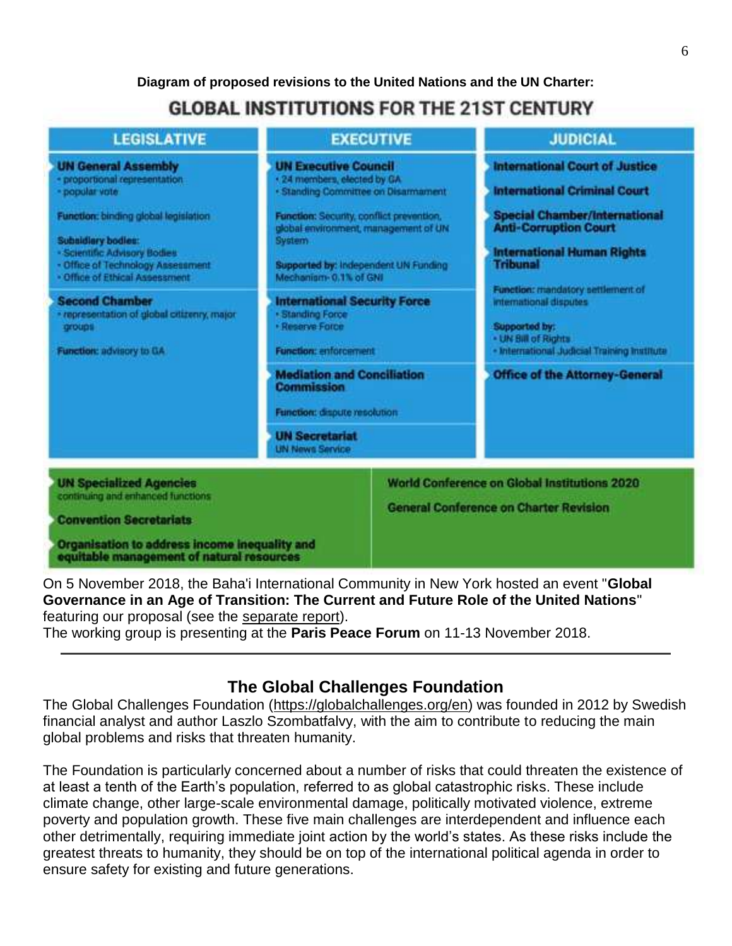**Diagram of proposed revisions to the United Nations and the UN Charter:**

# **GLOBAL INSTITUTIONS FOR THE 21ST CENTURY**



On 5 November 2018, the Baha'i International Community in New York hosted an event "**Global Governance in an Age of Transition: The Current and Future Role of the United Nations**" featuring our proposal (see the [separate report\)](https://iefworld.org/node/952).

The working group is presenting at the **Paris Peace Forum** on 11-13 November 2018.

### **The Global Challenges Foundation**

The Global Challenges Foundation [\(https://globalchallenges.org/en\)](https://globalchallenges.org/en) was founded in 2012 by Swedish financial analyst and author Laszlo Szombatfalvy, with the aim to contribute to reducing the main global problems and risks that threaten humanity.

The Foundation is particularly concerned about a number of risks that could threaten the existence of at least a tenth of the Earth's population, referred to as global catastrophic risks. These include climate change, other large-scale environmental damage, politically motivated violence, extreme poverty and population growth. These five main challenges are interdependent and influence each other detrimentally, requiring immediate joint action by the world's states. As these risks include the greatest threats to humanity, they should be on top of the international political agenda in order to ensure safety for existing and future generations.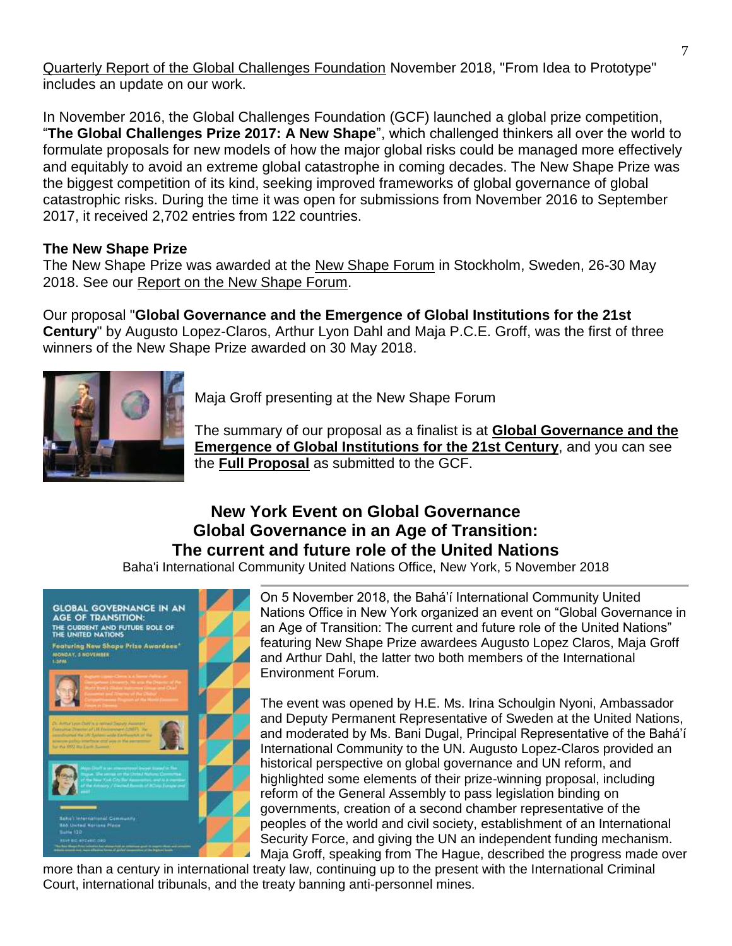[Quarterly Report of the Global Challenges Foundation](https://www.globalchallenges.org/en/our-work/quarterly-reports/from-idea-to-prototype) November 2018, "From Idea to Prototype" includes an update on our work.

In November 2016, the Global Challenges Foundation (GCF) launched a global prize competition, "**The Global Challenges Prize 2017: A New Shape**", which challenged thinkers all over the world to formulate proposals for new models of how the major global risks could be managed more effectively and equitably to avoid an extreme global catastrophe in coming decades. The New Shape Prize was the biggest competition of its kind, seeking improved frameworks of global governance of global catastrophic risks. During the time it was open for submissions from November 2016 to September 2017, it received 2,702 entries from 122 countries.

### **The New Shape Prize**

The New Shape Prize was awarded at the [New Shape Forum](https://globalchallenges.org/en/our-work/new-shape-forum) in Stockholm, Sweden, 26-30 May 2018. See our [Report on the New Shape Forum.](https://iefworld.org/node/925)

Our proposal "**Global Governance and the Emergence of Global Institutions for the 21st Century**" by Augusto Lopez-Claros, Arthur Lyon Dahl and Maja P.C.E. Groff, was the first of three winners of the New Shape Prize awarded on 30 May 2018.



Maja Groff presenting at the New Shape Forum

The summary of our proposal as a finalist is at **[Global Governance and the](https://globalchallenges.org/en/our-work/the-new-shape-prize/finalists/global-governance-and-the-emergence-of-global-institutions-for-the-21st-century)  [Emergence of Global Institutions for the 21st Century](https://globalchallenges.org/en/our-work/the-new-shape-prize/finalists/global-governance-and-the-emergence-of-global-institutions-for-the-21st-century)**, and you can see the **[Full Proposal](https://iefworld.org/node/939)** as submitted to the GCF.

### **New York Event on Global Governance Global Governance in an Age of Transition: The current and future role of the United Nations**

Baha'i International Community United Nations Office, New York, 5 November 2018



On 5 November 2018, the Bahá'í International Community United Nations Office in New York organized an event on "Global Governance in an Age of Transition: The current and future role of the United Nations" featuring New Shape Prize awardees Augusto Lopez Claros, Maja Groff and Arthur Dahl, the latter two both members of the International Environment Forum.

The event was opened by H.E. Ms. Irina Schoulgin Nyoni, Ambassador and Deputy Permanent Representative of Sweden at the United Nations, and moderated by Ms. Bani Dugal, Principal Representative of the Bahá'í International Community to the UN. Augusto Lopez-Claros provided an historical perspective on global governance and UN reform, and highlighted some elements of their prize-winning proposal, including reform of the General Assembly to pass legislation binding on governments, creation of a second chamber representative of the peoples of the world and civil society, establishment of an International Security Force, and giving the UN an independent funding mechanism. Maja Groff, speaking from The Hague, described the progress made over

more than a century in international treaty law, continuing up to the present with the International Criminal Court, international tribunals, and the treaty banning anti-personnel mines.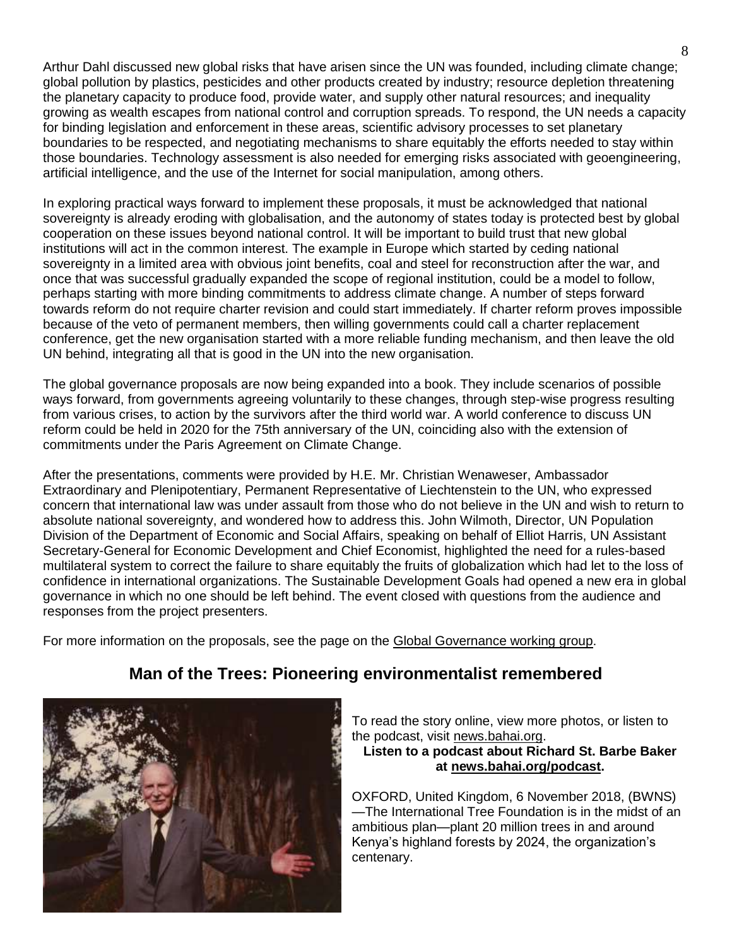Arthur Dahl discussed new global risks that have arisen since the UN was founded, including climate change; global pollution by plastics, pesticides and other products created by industry; resource depletion threatening the planetary capacity to produce food, provide water, and supply other natural resources; and inequality growing as wealth escapes from national control and corruption spreads. To respond, the UN needs a capacity for binding legislation and enforcement in these areas, scientific advisory processes to set planetary boundaries to be respected, and negotiating mechanisms to share equitably the efforts needed to stay within those boundaries. Technology assessment is also needed for emerging risks associated with geoengineering, artificial intelligence, and the use of the Internet for social manipulation, among others.

In exploring practical ways forward to implement these proposals, it must be acknowledged that national sovereignty is already eroding with globalisation, and the autonomy of states today is protected best by global cooperation on these issues beyond national control. It will be important to build trust that new global institutions will act in the common interest. The example in Europe which started by ceding national sovereignty in a limited area with obvious joint benefits, coal and steel for reconstruction after the war, and once that was successful gradually expanded the scope of regional institution, could be a model to follow, perhaps starting with more binding commitments to address climate change. A number of steps forward towards reform do not require charter revision and could start immediately. If charter reform proves impossible because of the veto of permanent members, then willing governments could call a charter replacement conference, get the new organisation started with a more reliable funding mechanism, and then leave the old UN behind, integrating all that is good in the UN into the new organisation.

The global governance proposals are now being expanded into a book. They include scenarios of possible ways forward, from governments agreeing voluntarily to these changes, through step-wise progress resulting from various crises, to action by the survivors after the third world war. A world conference to discuss UN reform could be held in 2020 for the 75th anniversary of the UN, coinciding also with the extension of commitments under the Paris Agreement on Climate Change.

After the presentations, comments were provided by H.E. Mr. Christian Wenaweser, Ambassador Extraordinary and Plenipotentiary, Permanent Representative of Liechtenstein to the UN, who expressed concern that international law was under assault from those who do not believe in the UN and wish to return to absolute national sovereignty, and wondered how to address this. John Wilmoth, Director, UN Population Division of the Department of Economic and Social Affairs, speaking on behalf of Elliot Harris, UN Assistant Secretary-General for Economic Development and Chief Economist, highlighted the need for a rules-based multilateral system to correct the failure to share equitably the fruits of globalization which had let to the loss of confidence in international organizations. The Sustainable Development Goals had opened a new era in global governance in which no one should be left behind. The event closed with questions from the audience and responses from the project presenters.

For more information on the proposals, see the page on the [Global Governance working group.](https://iefworld.org/governanceWG)

### **Man of the Trees: Pioneering environmentalist remembered**



To read the story online, view more photos, or listen to the podcast, visit [news.bahai.org.](https://kgrn2wvd.r.us-west-2.awstrack.me/L0/https:%2F%2Fnews.bahai.org%2Fstory%2F1292%2F/2/01010166e9a28742-38c20786-1712-474c-b40d-bedf166dafb5-000000/II6ppfxEg-eew4CiI8COJqphnEM=83)

**Listen to a podcast about Richard St. Barbe Baker at [news.bahai.org/podcast.](https://kgrn2wvd.r.us-west-2.awstrack.me/L0/https:%2F%2Fnews.bahai.org%2Fpodcast%2F/1/01010166e9a28742-38c20786-1712-474c-b40d-bedf166dafb5-000000/iajWxxoUrGCrzieeYx9PKwxpb_g=83)**

OXFORD, United Kingdom, 6 November 2018, (BWNS) —The International Tree Foundation is in the midst of an ambitious plan—plant 20 million trees in and around Kenya's highland forests by 2024, the organization's centenary.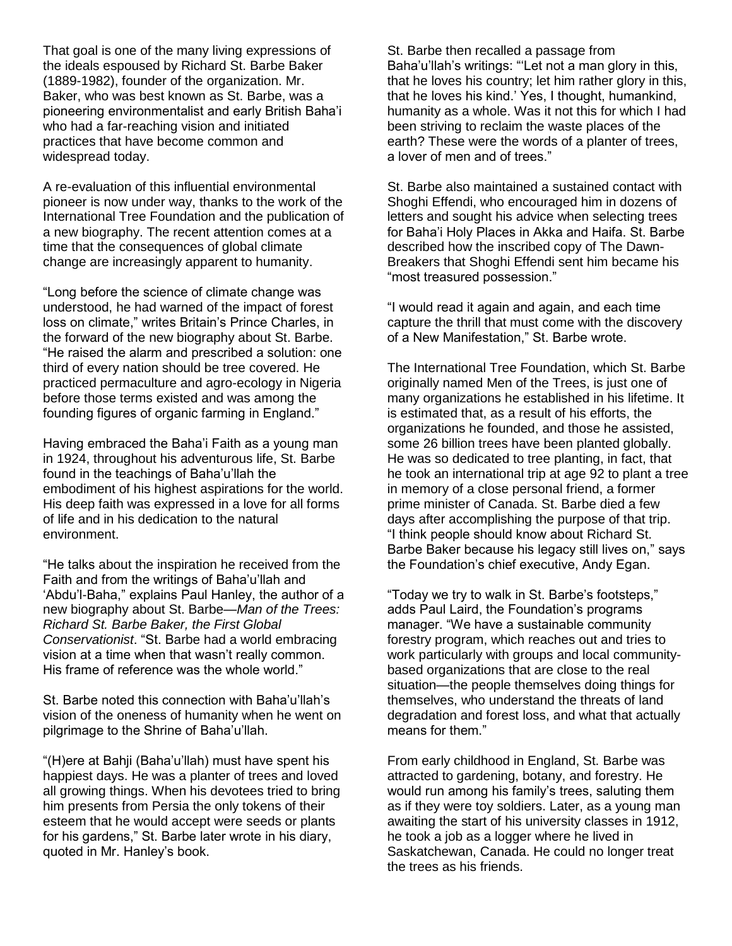That goal is one of the many living expressions of the ideals espoused by Richard St. Barbe Baker (1889-1982), founder of the organization. Mr. Baker, who was best known as St. Barbe, was a pioneering environmentalist and early British Baha'i who had a far-reaching vision and initiated practices that have become common and widespread today.

A re-evaluation of this influential environmental pioneer is now under way, thanks to the work of the International Tree Foundation and the publication of a new biography. The recent attention comes at a time that the consequences of global climate change are increasingly apparent to humanity.

"Long before the science of climate change was understood, he had warned of the impact of forest loss on climate," writes Britain's Prince Charles, in the forward of the new biography about St. Barbe. "He raised the alarm and prescribed a solution: one third of every nation should be tree covered. He practiced permaculture and agro-ecology in Nigeria before those terms existed and was among the founding figures of organic farming in England."

Having embraced the Baha'i Faith as a young man in 1924, throughout his adventurous life, St. Barbe found in the teachings of Baha'u'llah the embodiment of his highest aspirations for the world. His deep faith was expressed in a love for all forms of life and in his dedication to the natural environment.

"He talks about the inspiration he received from the Faith and from the writings of Baha'u'llah and 'Abdu'l-Baha," explains Paul Hanley, the author of a new biography about St. Barbe—*Man of the Trees: Richard St. Barbe Baker, the First Global Conservationist*. "St. Barbe had a world embracing vision at a time when that wasn't really common. His frame of reference was the whole world."

St. Barbe noted this connection with Baha'u'llah's vision of the oneness of humanity when he went on pilgrimage to the Shrine of Baha'u'llah.

"(H)ere at Bahji (Baha'u'llah) must have spent his happiest days. He was a planter of trees and loved all growing things. When his devotees tried to bring him presents from Persia the only tokens of their esteem that he would accept were seeds or plants for his gardens," St. Barbe later wrote in his diary, quoted in Mr. Hanley's book.

St. Barbe then recalled a passage from Baha'u'llah's writings: "'Let not a man glory in this, that he loves his country; let him rather glory in this, that he loves his kind.' Yes, I thought, humankind, humanity as a whole. Was it not this for which I had been striving to reclaim the waste places of the earth? These were the words of a planter of trees, a lover of men and of trees."

St. Barbe also maintained a sustained contact with Shoghi Effendi, who encouraged him in dozens of letters and sought his advice when selecting trees for Baha'i Holy Places in Akka and Haifa. St. Barbe described how the inscribed copy of The Dawn-Breakers that Shoghi Effendi sent him became his "most treasured possession."

"I would read it again and again, and each time capture the thrill that must come with the discovery of a New Manifestation," St. Barbe wrote.

The International Tree Foundation, which St. Barbe originally named Men of the Trees, is just one of many organizations he established in his lifetime. It is estimated that, as a result of his efforts, the organizations he founded, and those he assisted, some 26 billion trees have been planted globally. He was so dedicated to tree planting, in fact, that he took an international trip at age 92 to plant a tree in memory of a close personal friend, a former prime minister of Canada. St. Barbe died a few days after accomplishing the purpose of that trip. "I think people should know about Richard St. Barbe Baker because his legacy still lives on," says the Foundation's chief executive, Andy Egan.

"Today we try to walk in St. Barbe's footsteps," adds Paul Laird, the Foundation's programs manager. "We have a sustainable community forestry program, which reaches out and tries to work particularly with groups and local communitybased organizations that are close to the real situation—the people themselves doing things for themselves, who understand the threats of land degradation and forest loss, and what that actually means for them."

From early childhood in England, St. Barbe was attracted to gardening, botany, and forestry. He would run among his family's trees, saluting them as if they were toy soldiers. Later, as a young man awaiting the start of his university classes in 1912, he took a job as a logger where he lived in Saskatchewan, Canada. He could no longer treat the trees as his friends.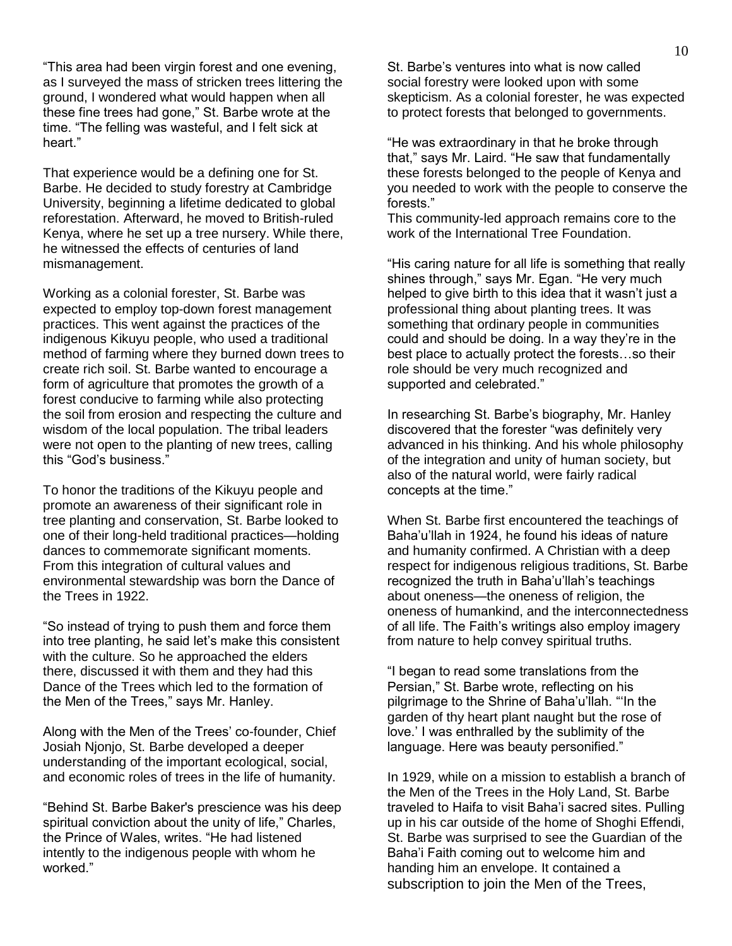"This area had been virgin forest and one evening, as I surveyed the mass of stricken trees littering the ground, I wondered what would happen when all these fine trees had gone," St. Barbe wrote at the time. "The felling was wasteful, and I felt sick at heart"

That experience would be a defining one for St. Barbe. He decided to study forestry at Cambridge University, beginning a lifetime dedicated to global reforestation. Afterward, he moved to British-ruled Kenya, where he set up a tree nursery. While there, he witnessed the effects of centuries of land mismanagement.

Working as a colonial forester, St. Barbe was expected to employ top-down forest management practices. This went against the practices of the indigenous Kikuyu people, who used a traditional method of farming where they burned down trees to create rich soil. St. Barbe wanted to encourage a form of agriculture that promotes the growth of a forest conducive to farming while also protecting the soil from erosion and respecting the culture and wisdom of the local population. The tribal leaders were not open to the planting of new trees, calling this "God's business."

To honor the traditions of the Kikuyu people and promote an awareness of their significant role in tree planting and conservation, St. Barbe looked to one of their long-held traditional practices—holding dances to commemorate significant moments. From this integration of cultural values and environmental stewardship was born the Dance of the Trees in 1922.

"So instead of trying to push them and force them into tree planting, he said let's make this consistent with the culture. So he approached the elders there, discussed it with them and they had this Dance of the Trees which led to the formation of the Men of the Trees," says Mr. Hanley.

Along with the Men of the Trees' co-founder, Chief Josiah Njonjo, St. Barbe developed a deeper understanding of the important ecological, social, and economic roles of trees in the life of humanity.

"Behind St. Barbe Baker's prescience was his deep spiritual conviction about the unity of life," Charles, the Prince of Wales, writes. "He had listened intently to the indigenous people with whom he worked."

St. Barbe's ventures into what is now called social forestry were looked upon with some skepticism. As a colonial forester, he was expected to protect forests that belonged to governments.

"He was extraordinary in that he broke through that," says Mr. Laird. "He saw that fundamentally these forests belonged to the people of Kenya and you needed to work with the people to conserve the forests."

This community-led approach remains core to the work of the International Tree Foundation.

"His caring nature for all life is something that really shines through," says Mr. Egan. "He very much helped to give birth to this idea that it wasn't just a professional thing about planting trees. It was something that ordinary people in communities could and should be doing. In a way they're in the best place to actually protect the forests…so their role should be very much recognized and supported and celebrated."

In researching St. Barbe's biography, Mr. Hanley discovered that the forester "was definitely very advanced in his thinking. And his whole philosophy of the integration and unity of human society, but also of the natural world, were fairly radical concepts at the time."

When St. Barbe first encountered the teachings of Baha'u'llah in 1924, he found his ideas of nature and humanity confirmed. A Christian with a deep respect for indigenous religious traditions, St. Barbe recognized the truth in Baha'u'llah's teachings about oneness—the oneness of religion, the oneness of humankind, and the interconnectedness of all life. The Faith's writings also employ imagery from nature to help convey spiritual truths.

"I began to read some translations from the Persian," St. Barbe wrote, reflecting on his pilgrimage to the Shrine of Baha'u'llah. "'In the garden of thy heart plant naught but the rose of love.' I was enthralled by the sublimity of the language. Here was beauty personified."

In 1929, while on a mission to establish a branch of the Men of the Trees in the Holy Land, St. Barbe traveled to Haifa to visit Baha'i sacred sites. Pulling up in his car outside of the home of Shoghi Effendi, St. Barbe was surprised to see the Guardian of the Baha'i Faith coming out to welcome him and handing him an envelope. It contained a subscription to join the Men of the Trees,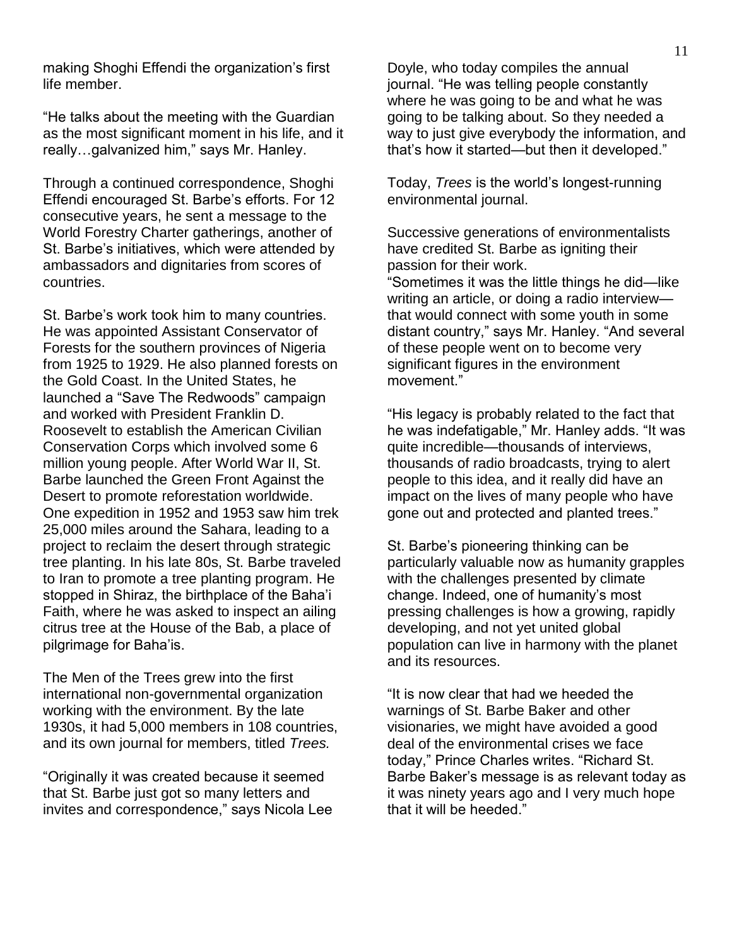making Shoghi Effendi the organization's first life member.

"He talks about the meeting with the Guardian as the most significant moment in his life, and it really…galvanized him," says Mr. Hanley.

Through a continued correspondence, Shoghi Effendi encouraged St. Barbe's efforts. For 12 consecutive years, he sent a message to the World Forestry Charter gatherings, another of St. Barbe's initiatives, which were attended by ambassadors and dignitaries from scores of countries.

St. Barbe's work took him to many countries. He was appointed Assistant Conservator of Forests for the southern provinces of Nigeria from 1925 to 1929. He also planned forests on the Gold Coast. In the United States, he launched a "Save The Redwoods" campaign and worked with President Franklin D. Roosevelt to establish the American Civilian Conservation Corps which involved some 6 million young people. After World War II, St. Barbe launched the Green Front Against the Desert to promote reforestation worldwide. One expedition in 1952 and 1953 saw him trek 25,000 miles around the Sahara, leading to a project to reclaim the desert through strategic tree planting. In his late 80s, St. Barbe traveled to Iran to promote a tree planting program. He stopped in Shiraz, the birthplace of the Baha'i Faith, where he was asked to inspect an ailing citrus tree at the House of the Bab, a place of pilgrimage for Baha'is.

The Men of the Trees grew into the first international non-governmental organization working with the environment. By the late 1930s, it had 5,000 members in 108 countries, and its own journal for members, titled *Trees.*

"Originally it was created because it seemed that St. Barbe just got so many letters and invites and correspondence," says Nicola Lee Doyle, who today compiles the annual journal. "He was telling people constantly where he was going to be and what he was going to be talking about. So they needed a way to just give everybody the information, and that's how it started—but then it developed."

Today, *Trees* is the world's longest-running environmental journal.

Successive generations of environmentalists have credited St. Barbe as igniting their passion for their work.

"Sometimes it was the little things he did—like writing an article, or doing a radio interview that would connect with some youth in some distant country," says Mr. Hanley. "And several of these people went on to become very significant figures in the environment movement."

"His legacy is probably related to the fact that he was indefatigable," Mr. Hanley adds. "It was quite incredible—thousands of interviews, thousands of radio broadcasts, trying to alert people to this idea, and it really did have an impact on the lives of many people who have gone out and protected and planted trees."

St. Barbe's pioneering thinking can be particularly valuable now as humanity grapples with the challenges presented by climate change. Indeed, one of humanity's most pressing challenges is how a growing, rapidly developing, and not yet united global population can live in harmony with the planet and its resources.

"It is now clear that had we heeded the warnings of St. Barbe Baker and other visionaries, we might have avoided a good deal of the environmental crises we face today," Prince Charles writes. "Richard St. Barbe Baker's message is as relevant today as it was ninety years ago and I very much hope that it will be heeded."